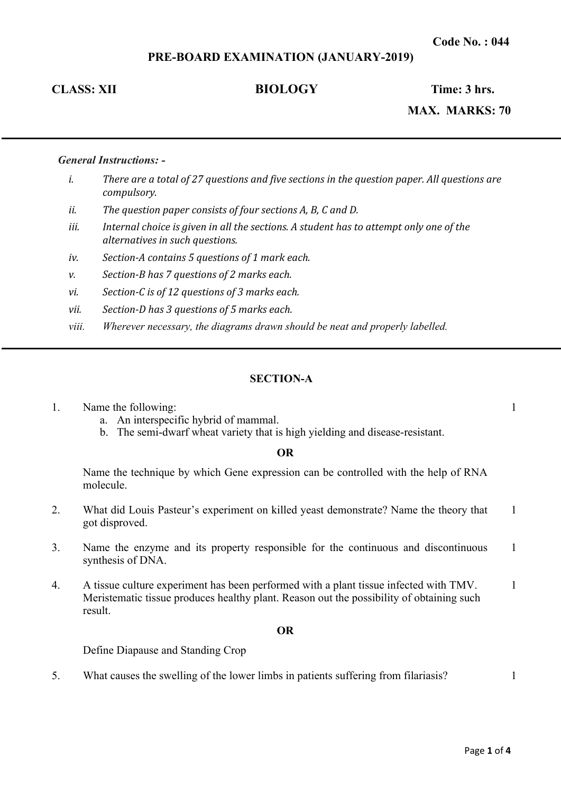# **PRE-BOARD EXAMINATION (JANUARY-2019)**

# **CLASS: XII BIOLOGY Time: 3 hrs.**

**MAX. MARKS: 70**

## *General Instructions: -*

1. Name the following:

- *i.* There are a total of 27 questions and five sections in the question paper. All questions are *compulsory.*
- *ii.* The question paper consists of four sections A, B, C and D.
- *iii.* Internal choice is given in all the sections. A student has to attempt only one of the *alternatives in such auestions.*
- *iv.* Section-A contains 5 questions of 1 mark each.
- *v.* Section-B has 7 questions of 2 marks each.
- *vi.* Section-C is of 12 questions of 3 marks each.
- *vii. Section-D has 3 questions of 5 marks each.*
- *viii. Wherever necessary, the diagrams drawn should be neat and properly labelled.*

## **SECTION-A**

- a. An interspecific hybrid of mammal. b. The semi-dwarf wheat variety that is high yielding and disease-resistant. **OR** Name the technique by which Gene expression can be controlled with the help of RNA molecule. 2. What did Louis Pasteur's experiment on killed yeast demonstrate? Name the theory that got disproved. 1 3. Name the enzyme and its property responsible for the continuous and discontinuous synthesis of DNA. 1 4. A tissue culture experiment has been performed with a plant tissue infected with TMV. Meristematic tissue produces healthy plant. Reason out the possibility of obtaining such result. **OR** Define Diapause and Standing Crop 1
- 5. What causes the swelling of the lower limbs in patients suffering from filariasis? 1

1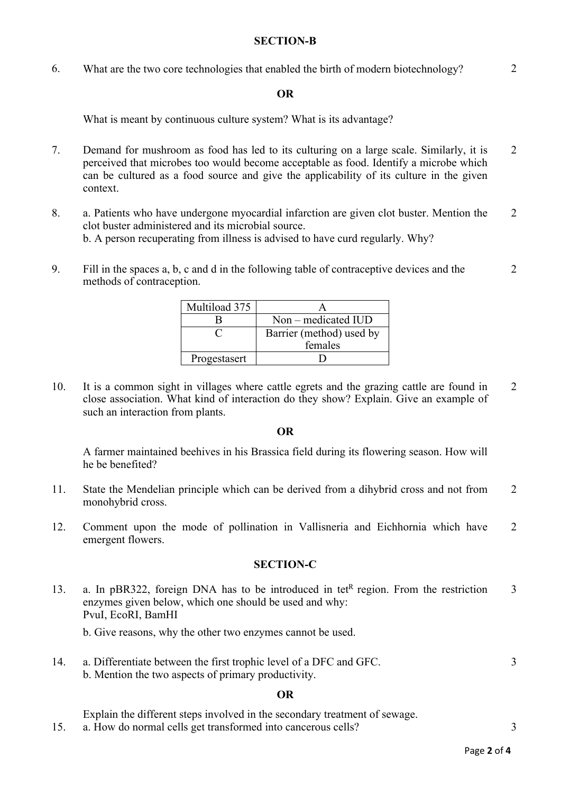## **SECTION-B**

6. What are the two core technologies that enabled the birth of modern biotechnology?

## **OR**

What is meant by continuous culture system? What is its advantage?

- 7. Demand for mushroom as food has led to its culturing on a large scale. Similarly, it is perceived that microbes too would become acceptable as food. Identify a microbe which can be cultured as a food source and give the applicability of its culture in the given context. 2
- 8. a. Patients who have undergone myocardial infarction are given clot buster. Mention the clot buster administered and its microbial source. b. A person recuperating from illness is advised to have curd regularly. Why?  $\mathcal{D}$
- 9. Fill in the spaces a, b, c and d in the following table of contraceptive devices and the methods of contraception.

| Multiload 375 |                          |  |  |  |
|---------------|--------------------------|--|--|--|
|               | Non – medicated IUD      |  |  |  |
|               | Barrier (method) used by |  |  |  |
|               | females                  |  |  |  |
| Progestasert  |                          |  |  |  |

10. It is a common sight in villages where cattle egrets and the grazing cattle are found in close association. What kind of interaction do they show? Explain. Give an example of such an interaction from plants. 2

#### **OR**

A farmer maintained beehives in his Brassica field during its flowering season. How will he be benefited?

- 11. State the Mendelian principle which can be derived from a dihybrid cross and not from monohybrid cross. 2
- 12. Comment upon the mode of pollination in Vallisneria and Eichhornia which have emergent flowers. 2

# **SECTION-C**

- 13. a. In pBR322, foreign DNA has to be introduced in tet<sup>R</sup> region. From the restriction enzymes given below, which one should be used and why: PvuI, EcoRI, BamHI b. Give reasons, why the other two enzymes cannot be used. 3
- 14. a. Differentiate between the first trophic level of a DFC and GFC. b. Mention the two aspects of primary productivity. 3

## **OR**

Explain the different steps involved in the secondary treatment of sewage. 15. a. How do normal cells get transformed into cancerous cells? 3

2

2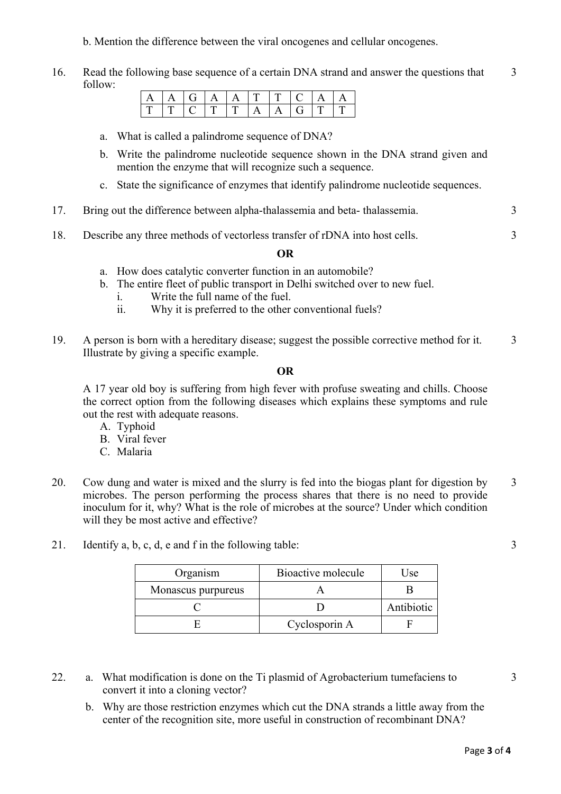b. Mention the difference between the viral oncogenes and cellular oncogenes.

16. Read the following base sequence of a certain DNA strand and answer the questions that follow: 3

|  |  |         | $\mathbf{r}$ |  |  |
|--|--|---------|--------------|--|--|
|  |  | 1 H 1 H |              |  |  |

- a. What is called a palindrome sequence of DNA?
- b. Write the palindrome nucleotide sequence shown in the DNA strand given and mention the enzyme that will recognize such a sequence.
- c. State the significance of enzymes that identify palindrome nucleotide sequences.
- 17. Bring out the difference between alpha-thalassemia and beta- thalassemia. 3
- 18. Describe any three methods of vectorless transfer of rDNA into host cells.

## **OR**

- a. How does catalytic converter function in an automobile?
- b. The entire fleet of public transport in Delhi switched over to new fuel.
	- i. Write the full name of the fuel.
	- ii. Why it is preferred to the other conventional fuels?
- 19. A person is born with a hereditary disease; suggest the possible corrective method for it. Illustrate by giving a specific example. 3

#### **OR**

A 17 year old boy is suffering from high fever with profuse sweating and chills. Choose the correct option from the following diseases which explains these symptoms and rule out the rest with adequate reasons.

- A. Typhoid
- B. Viral fever
- C. Malaria
- 20. Cow dung and water is mixed and the slurry is fed into the biogas plant for digestion by microbes. The person performing the process shares that there is no need to provide inoculum for it, why? What is the role of microbes at the source? Under which condition will they be most active and effective? 3
- 21. Identify a, b, c, d, e and f in the following table:

| Organism           | Bioactive molecule | Jse.       |
|--------------------|--------------------|------------|
| Monascus purpureus |                    |            |
|                    |                    | Antibiotic |
|                    | Cyclosporin A      |            |

- 22. a. What modification is done on the Ti plasmid of Agrobacterium tumefaciens to convert it into a cloning vector?
	- b. Why are those restriction enzymes which cut the DNA strands a little away from the center of the recognition site, more useful in construction of recombinant DNA?

3

3